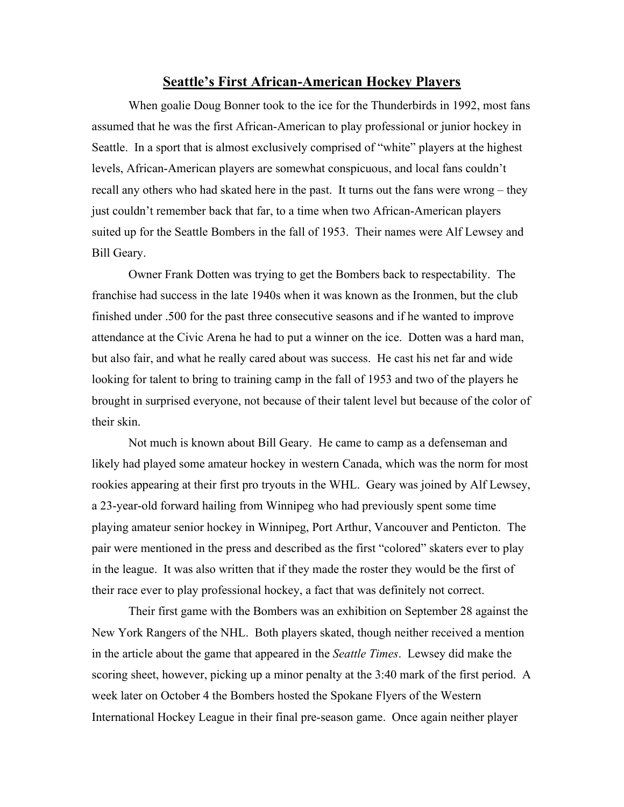## **Seattle's First African-American Hockey Players**

When goalie Doug Bonner took to the ice for the Thunderbirds in 1992, most fans assumed that he was the first African-American to play professional or junior hockey in Seattle. In a sport that is almost exclusively comprised of "white" players at the highest levels, African-American players are somewhat conspicuous, and local fans couldn't recall any others who had skated here in the past. It turns out the fans were wrong – they just couldn't remember back that far, to a time when two African-American players suited up for the Seattle Bombers in the fall of 1953. Their names were Alf Lewsey and Bill Geary.

Owner Frank Dotten was trying to get the Bombers back to respectability. The franchise had success in the late 1940s when it was known as the Ironmen, but the club finished under .500 for the past three consecutive seasons and if he wanted to improve attendance at the Civic Arena he had to put a winner on the ice. Dotten was a hard man, but also fair, and what he really cared about was success. He cast his net far and wide looking for talent to bring to training camp in the fall of 1953 and two of the players he brought in surprised everyone, not because of their talent level but because of the color of their skin.

Not much is known about Bill Geary. He came to camp as a defenseman and likely had played some amateur hockey in western Canada, which was the norm for most rookies appearing at their first pro tryouts in the WHL. Geary was joined by Alf Lewsey, a 23-year-old forward hailing from Winnipeg who had previously spent some time playing amateur senior hockey in Winnipeg, Port Arthur, Vancouver and Penticton. The pair were mentioned in the press and described as the first "colored" skaters ever to play in the league. It was also written that if they made the roster they would be the first of their race ever to play professional hockey, a fact that was definitely not correct.

Their first game with the Bombers was an exhibition on September 28 against the New York Rangers of the NHL. Both players skated, though neither received a mention in the article about the game that appeared in the *Seattle Times*. Lewsey did make the scoring sheet, however, picking up a minor penalty at the 3:40 mark of the first period. A week later on October 4 the Bombers hosted the Spokane Flyers of the Western International Hockey League in their final pre-season game. Once again neither player